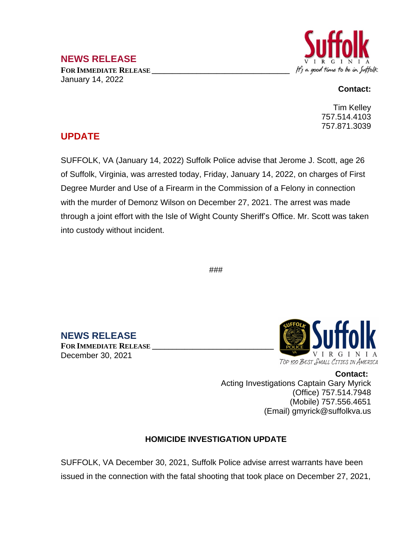# **NEWS RELEASE**

**FOR IMMEDIATE RELEASE \_\_\_\_\_\_\_\_\_\_\_\_\_\_\_\_\_\_\_\_\_\_\_\_\_\_\_\_\_\_\_\_\_\_** January 14, 2022



#### **Contact:**

Tim Kelley 757.514.4103 757.871.3039

# **UPDATE**

SUFFOLK, VA (January 14, 2022) Suffolk Police advise that Jerome J. Scott, age 26 of Suffolk, Virginia, was arrested today, Friday, January 14, 2022, on charges of First Degree Murder and Use of a Firearm in the Commission of a Felony in connection with the murder of Demonz Wilson on December 27, 2021. The arrest was made through a joint effort with the Isle of Wight County Sheriff's Office. Mr. Scott was taken into custody without incident.

###

**NEWS RELEASE**

**FOR IMMEDIATE RELEASE \_\_\_\_\_\_\_\_\_\_\_\_\_\_\_\_\_\_\_\_\_\_\_\_\_\_\_\_\_\_** December 30, 2021



**Contact:** Acting Investigations Captain Gary Myrick (Office) 757.514.7948 (Mobile) 757.556.4651 (Email) gmyrick@suffolkva.us

# **HOMICIDE INVESTIGATION UPDATE**

SUFFOLK, VA December 30, 2021, Suffolk Police advise arrest warrants have been issued in the connection with the fatal shooting that took place on December 27, 2021,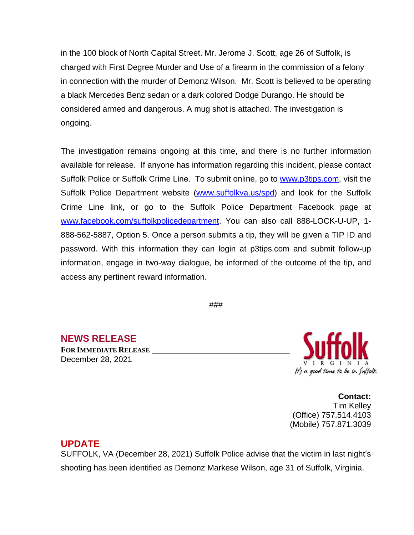in the 100 block of North Capital Street. Mr. Jerome J. Scott, age 26 of Suffolk, is charged with First Degree Murder and Use of a firearm in the commission of a felony in connection with the murder of Demonz Wilson. Mr. Scott is believed to be operating a black Mercedes Benz sedan or a dark colored Dodge Durango. He should be considered armed and dangerous. A mug shot is attached. The investigation is ongoing.

The investigation remains ongoing at this time, and there is no further information available for release. If anyone has information regarding this incident, please contact Suffolk Police or Suffolk Crime Line. To submit online, go to [www.p3tips.com](http://www.p3tips.com), visit the Suffolk Police Department website ([www.suffolkva.us/spd\)](http://www.suffolkva.us/spd) and look for the Suffolk Crime Line link, or go to the Suffolk Police Department Facebook page at [www.facebook.com/suffolkpolicedepartment](http://www.facebook.com/suffolkpolicedepartment). You can also call 888-LOCK-U-UP, 1-888-562-5887, Option 5. Once a person submits a tip, they will be given a TIP ID and password. With this information they can login at p3tips.com and submit follow-up information, engage in two-way dialogue, be informed of the outcome of the tip, and access any pertinent reward information.

###

**NEWS RELEASE**

**FOR IMMEDIATE RELEASE \_\_\_\_\_\_\_\_\_\_\_\_\_\_\_\_\_\_\_\_\_\_\_\_\_\_\_\_\_\_\_\_\_\_** December 28, 2021



**Contact:** Tim Kelley (Office) 757.514.4103 (Mobile) 757.871.3039

### **UPDATE**

SUFFOLK, VA (December 28, 2021) Suffolk Police advise that the victim in last night's shooting has been identified as Demonz Markese Wilson, age 31 of Suffolk, Virginia.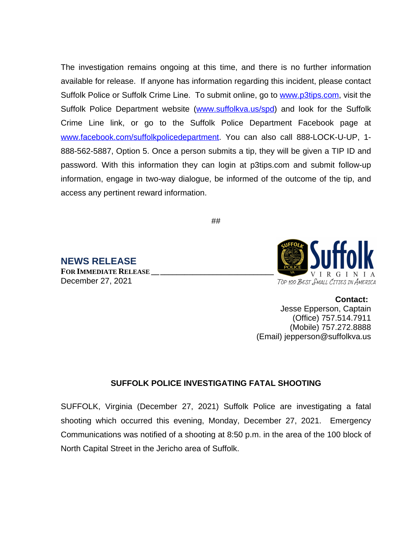The investigation remains ongoing at this time, and there is no further information available for release. If anyone has information regarding this incident, please contact Suffolk Police or Suffolk Crime Line. To submit online, go to [www.p3tips.com](http://www.p3tips.com), visit the Suffolk Police Department website ([www.suffolkva.us/spd\)](http://www.suffolkva.us/spd) and look for the Suffolk Crime Line link, or go to the Suffolk Police Department Facebook page at [www.facebook.com/suffolkpolicedepartment](http://www.facebook.com/suffolkpolicedepartment). You can also call 888-LOCK-U-UP, 1-888-562-5887, Option 5. Once a person submits a tip, they will be given a TIP ID and password. With this information they can login at p3tips.com and submit follow-up information, engage in two-way dialogue, be informed of the outcome of the tip, and access any pertinent reward information.

##

**NEWS RELEASE FOR IMMEDIATE RELEASE \_\_\_\_\_\_\_\_\_\_\_\_\_\_\_\_\_\_\_\_\_\_\_\_\_\_\_\_\_\_** December 27, 2021



**Contact:** Jesse Epperson, Captain (Office) 757.514.7911 (Mobile) 757.272.8888 (Email) jepperson@suffolkva.us

### **SUFFOLK POLICE INVESTIGATING FATAL SHOOTING**

SUFFOLK, Virginia (December 27, 2021) Suffolk Police are investigating a fatal shooting which occurred this evening, Monday, December 27, 2021. Emergency Communications was notified of a shooting at 8:50 p.m. in the area of the 100 block of North Capital Street in the Jericho area of Suffolk.